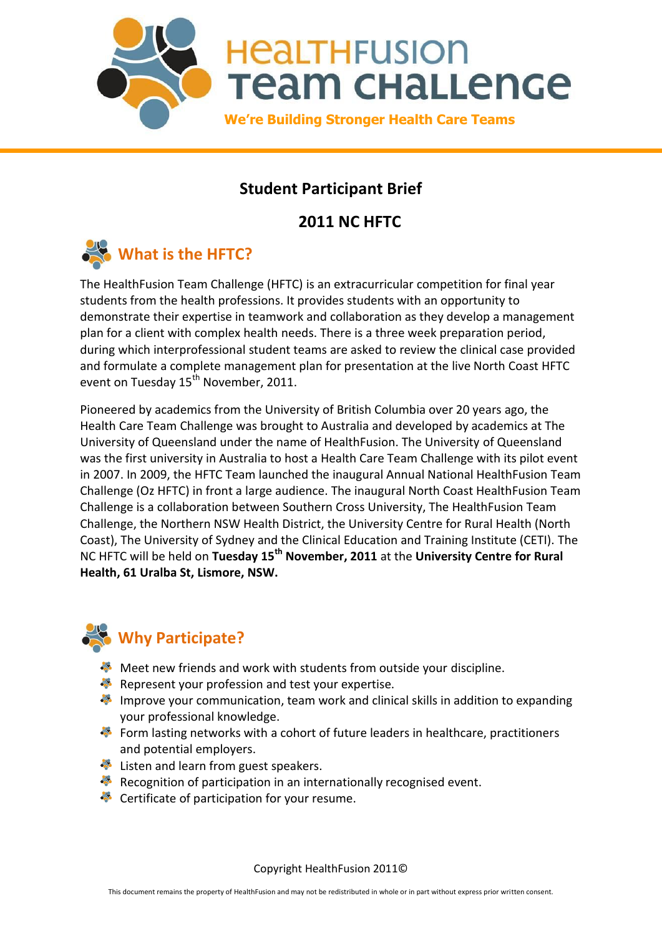

# **Student Participant Brief**

# **2011 NC HFTC**



The HealthFusion Team Challenge (HFTC) is an extracurricular competition for final year students from the health professions. It provides students with an opportunity to demonstrate their expertise in teamwork and collaboration as they develop a management plan for a client with complex health needs. There is a three week preparation period, during which interprofessional student teams are asked to review the clinical case provided and formulate a complete management plan for presentation at the live North Coast HFTC event on Tuesday 15<sup>th</sup> November, 2011.

Pioneered by academics from the University of British Columbia over 20 years ago, the Health Care Team Challenge was brought to Australia and developed by academics at The University of Queensland under the name of HealthFusion. The University of Queensland was the first university in Australia to host a Health Care Team Challenge with its pilot event in 2007. In 2009, the HFTC Team launched the inaugural Annual National HealthFusion Team Challenge (Oz HFTC) in front a large audience. The inaugural North Coast HealthFusion Team Challenge is a collaboration between Southern Cross University, The HealthFusion Team Challenge, the Northern NSW Health District, the University Centre for Rural Health (North Coast), The University of Sydney and the Clinical Education and Training Institute (CETI). The NC HFTC will be held on **Tuesday 15th November, 2011** at the **University Centre for Rural Health, 61 Uralba St, Lismore, NSW.** 



# **Why Participate?**

- Meet new friends and work with students from outside your discipline.
- Represent your profession and test your expertise.
- Improve your communication, team work and clinical skills in addition to expanding your professional knowledge.
- Form lasting networks with a cohort of future leaders in healthcare, practitioners and potential employers.
- Listen and learn from guest speakers.
- Recognition of participation in an internationally recognised event.
- Certificate of participation for your resume.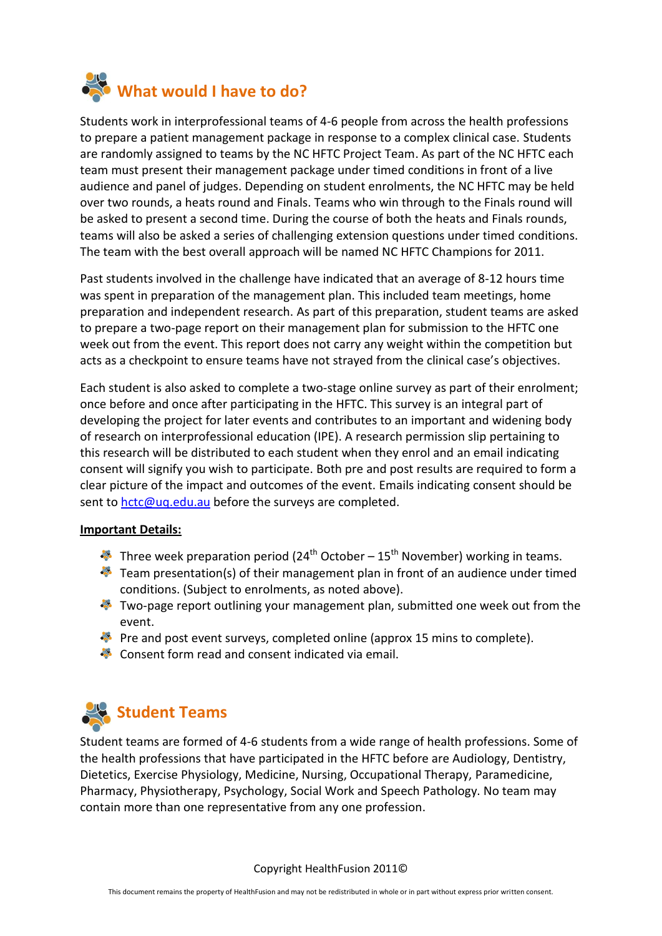

Students work in interprofessional teams of 4-6 people from across the health professions to prepare a patient management package in response to a complex clinical case. Students are randomly assigned to teams by the NC HFTC Project Team. As part of the NC HFTC each team must present their management package under timed conditions in front of a live audience and panel of judges. Depending on student enrolments, the NC HFTC may be held over two rounds, a heats round and Finals. Teams who win through to the Finals round will be asked to present a second time. During the course of both the heats and Finals rounds, teams will also be asked a series of challenging extension questions under timed conditions. The team with the best overall approach will be named NC HFTC Champions for 2011.

Past students involved in the challenge have indicated that an average of 8-12 hours time was spent in preparation of the management plan. This included team meetings, home preparation and independent research. As part of this preparation, student teams are asked to prepare a two-page report on their management plan for submission to the HFTC one week out from the event. This report does not carry any weight within the competition but acts as a checkpoint to ensure teams have not strayed from the clinical case's objectives.

Each student is also asked to complete a two-stage online survey as part of their enrolment; once before and once after participating in the HFTC. This survey is an integral part of developing the project for later events and contributes to an important and widening body of research on interprofessional education (IPE). A research permission slip pertaining to this research will be distributed to each student when they enrol and an email indicating consent will signify you wish to participate. Both pre and post results are required to form a clear picture of the impact and outcomes of the event. Emails indicating consent should be sent to [hctc@uq.edu.au](mailto:hctc@uq.edu.au) before the surveys are completed.

## **Important Details:**

- Three week preparation period (24<sup>th</sup> October 15<sup>th</sup> November) working in teams.
- $\blacklozenge$  Team presentation(s) of their management plan in front of an audience under timed conditions. (Subject to enrolments, as noted above).
- Two-page report outlining your management plan, submitted one week out from the event.
- Pre and post event surveys, completed online (approx 15 mins to complete).
- Consent form read and consent indicated via email.



Student teams are formed of 4-6 students from a wide range of health professions. Some of the health professions that have participated in the HFTC before are Audiology, Dentistry, Dietetics, Exercise Physiology, Medicine, Nursing, Occupational Therapy, Paramedicine, Pharmacy, Physiotherapy, Psychology, Social Work and Speech Pathology. No team may contain more than one representative from any one profession.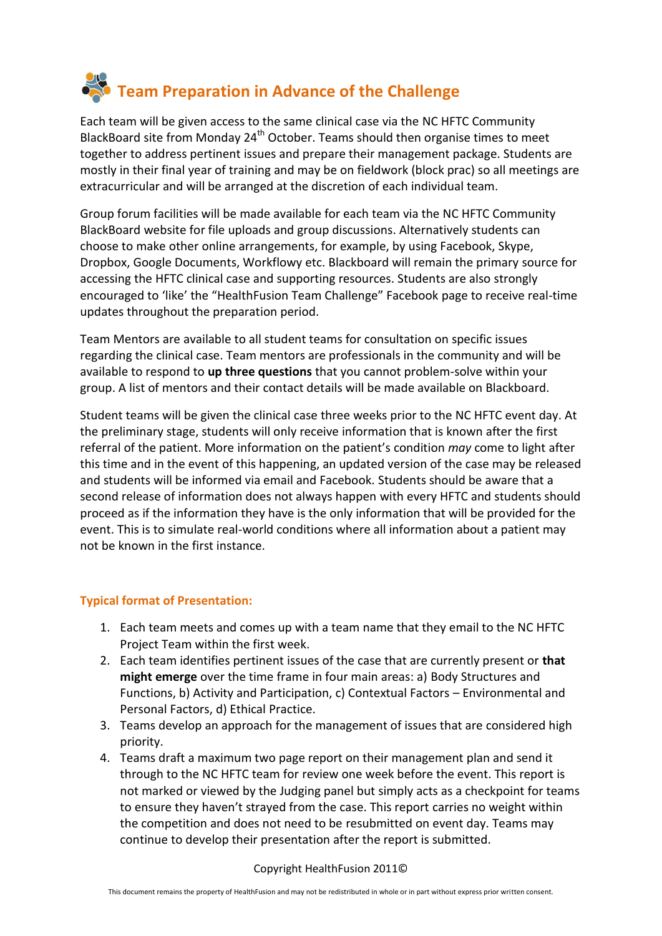

Each team will be given access to the same clinical case via the NC HFTC Community BlackBoard site from Monday  $24<sup>th</sup>$  October. Teams should then organise times to meet together to address pertinent issues and prepare their management package. Students are mostly in their final year of training and may be on fieldwork (block prac) so all meetings are extracurricular and will be arranged at the discretion of each individual team.

Group forum facilities will be made available for each team via the NC HFTC Community BlackBoard website for file uploads and group discussions. Alternatively students can choose to make other online arrangements, for example, by using Facebook, Skype, Dropbox, Google Documents, Workflowy etc. Blackboard will remain the primary source for accessing the HFTC clinical case and supporting resources. Students are also strongly encouraged to 'like' the "HealthFusion Team Challenge" Facebook page to receive real-time updates throughout the preparation period.

Team Mentors are available to all student teams for consultation on specific issues regarding the clinical case. Team mentors are professionals in the community and will be available to respond to **up three questions** that you cannot problem-solve within your group. A list of mentors and their contact details will be made available on Blackboard.

Student teams will be given the clinical case three weeks prior to the NC HFTC event day. At the preliminary stage, students will only receive information that is known after the first referral of the patient. More information on the patient's condition *may* come to light after this time and in the event of this happening, an updated version of the case may be released and students will be informed via email and Facebook. Students should be aware that a second release of information does not always happen with every HFTC and students should proceed as if the information they have is the only information that will be provided for the event. This is to simulate real-world conditions where all information about a patient may not be known in the first instance.

## **Typical format of Presentation:**

- 1. Each team meets and comes up with a team name that they email to the NC HFTC Project Team within the first week.
- 2. Each team identifies pertinent issues of the case that are currently present or **that might emerge** over the time frame in four main areas: a) Body Structures and Functions, b) Activity and Participation, c) Contextual Factors – Environmental and Personal Factors, d) Ethical Practice.
- 3. Teams develop an approach for the management of issues that are considered high priority.
- 4. Teams draft a maximum two page report on their management plan and send it through to the NC HFTC team for review one week before the event. This report is not marked or viewed by the Judging panel but simply acts as a checkpoint for teams to ensure they haven't strayed from the case. This report carries no weight within the competition and does not need to be resubmitted on event day. Teams may continue to develop their presentation after the report is submitted.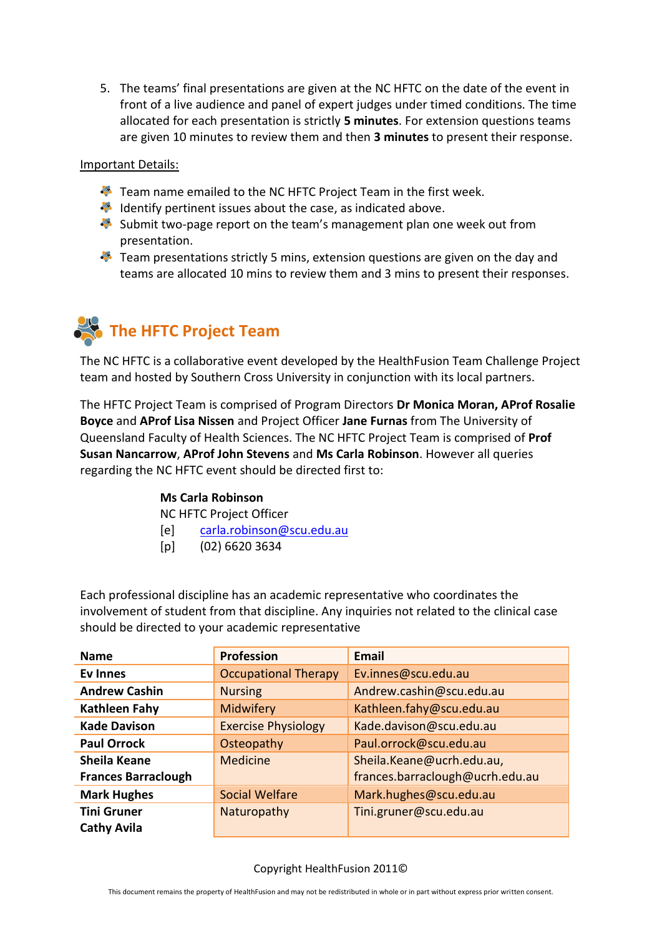5. The teams' final presentations are given at the NC HFTC on the date of the event in front of a live audience and panel of expert judges under timed conditions. The time allocated for each presentation is strictly **5 minutes**. For extension questions teams are given 10 minutes to review them and then **3 minutes** to present their response.

### Important Details:

- Team name emailed to the NC HFTC Project Team in the first week.
- Identify pertinent issues about the case, as indicated above.
- Submit two-page report on the team's management plan one week out from presentation.
- Team presentations strictly 5 mins, extension questions are given on the day and teams are allocated 10 mins to review them and 3 mins to present their responses.

# **The HFTC Project Team**

The NC HFTC is a collaborative event developed by the HealthFusion Team Challenge Project team and hosted by Southern Cross University in conjunction with its local partners.

The HFTC Project Team is comprised of Program Directors **Dr Monica Moran, AProf Rosalie Boyce** and **AProf Lisa Nissen** and Project Officer **Jane Furnas** from The University of Queensland Faculty of Health Sciences. The NC HFTC Project Team is comprised of **Prof Susan Nancarrow**, **AProf John Stevens** and **Ms Carla Robinson**. However all queries regarding the NC HFTC event should be directed first to:

## **Ms Carla Robinson**

NC HFTC Project Officer

- [e] [carla.robinson@scu.edu.au](mailto:carla.robinson@scu.edu.au)
- [p] (02) 6620 3634

Each professional discipline has an academic representative who coordinates the involvement of student from that discipline. Any inquiries not related to the clinical case should be directed to your academic representative

| <b>Name</b>                | <b>Profession</b>           | <b>Email</b>                    |
|----------------------------|-----------------------------|---------------------------------|
| <b>Ev Innes</b>            | <b>Occupational Therapy</b> | Ev.innes@scu.edu.au             |
| <b>Andrew Cashin</b>       | <b>Nursing</b>              | Andrew.cashin@scu.edu.au        |
| <b>Kathleen Fahy</b>       | Midwifery                   | Kathleen.fahy@scu.edu.au        |
| <b>Kade Davison</b>        | <b>Exercise Physiology</b>  | Kade.davison@scu.edu.au         |
| <b>Paul Orrock</b>         | Osteopathy                  | Paul.orrock@scu.edu.au          |
| <b>Sheila Keane</b>        | <b>Medicine</b>             | Sheila.Keane@ucrh.edu.au,       |
| <b>Frances Barraclough</b> |                             | frances.barraclough@ucrh.edu.au |
| <b>Mark Hughes</b>         | <b>Social Welfare</b>       | Mark.hughes@scu.edu.au          |
| <b>Tini Gruner</b>         | Naturopathy                 | Tini.gruner@scu.edu.au          |
| <b>Cathy Avila</b>         |                             |                                 |